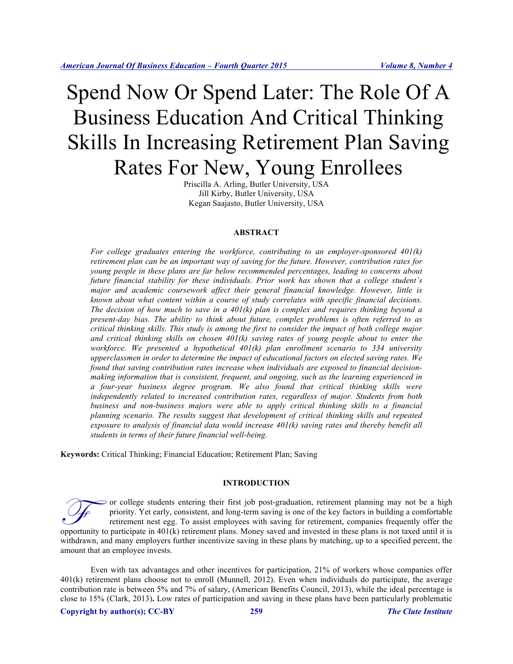# Spend Now Or Spend Later: The Role Of A Business Education And Critical Thinking Skills In Increasing Retirement Plan Saving Rates For New, Young Enrollees

Priscilla A. Arling, Butler University, USA Jill Kirby, Butler University, USA Kegan Saajasto, Butler University, USA

#### **ABSTRACT**

*For college graduates entering the workforce, contributing to an employer-sponsored 401(k) retirement plan can be an important way of saving for the future. However, contribution rates for young people in these plans are far below recommended percentages, leading to concerns about future financial stability for these individuals. Prior work has shown that a college student's major and academic coursework affect their general financial knowledge. However, little is known about what content within a course of study correlates with specific financial decisions. The decision of how much to save in a 401(k) plan is complex and requires thinking beyond a present-day bias. The ability to think about future, complex problems is often referred to as critical thinking skills. This study is among the first to consider the impact of both college major and critical thinking skills on chosen 401(k) saving rates of young people about to enter the workforce. We presented a hypothetical 401(k) plan enrollment scenario to 334 university upperclassmen in order to determine the impact of educational factors on elected saving rates. We found that saving contribution rates increase when individuals are exposed to financial decisionmaking information that is consistent, frequent, and ongoing, such as the learning experienced in a four-year business degree program. We also found that critical thinking skills were independently related to increased contribution rates, regardless of major. Students from both business and non-business majors were able to apply critical thinking skills to a financial planning scenario. The results suggest that development of critical thinking skills and repeated exposure to analysis of financial data would increase 401(k) saving rates and thereby benefit all students in terms of their future financial well-being.*

**Keywords:** Critical Thinking; Financial Education; Retirement Plan; Saving

# **INTRODUCTION**

or college students entering their first job post-graduation, retirement planning may not be a high priority. Yet early, consistent, and long-term saving is one of the key factors in building a comfortable retirement nest egg. To assist employees with saving for retirement, companies frequently offer the or college students entering their first job post-graduation, retirement planning may not be a high priority. Yet early, consistent, and long-term saving is one of the key factors in building a comfortable retirement nest withdrawn, and many employers further incentivize saving in these plans by matching, up to a specified percent, the amount that an employee invests.

Even with tax advantages and other incentives for participation, 21% of workers whose companies offer 401(k) retirement plans choose not to enroll (Munnell, 2012). Even when individuals do participate, the average contribution rate is between 5% and 7% of salary, (American Benefits Council, 2013), while the ideal percentage is close to 15% (Clark, 2013)**.** Low rates of participation and saving in these plans have been particularly problematic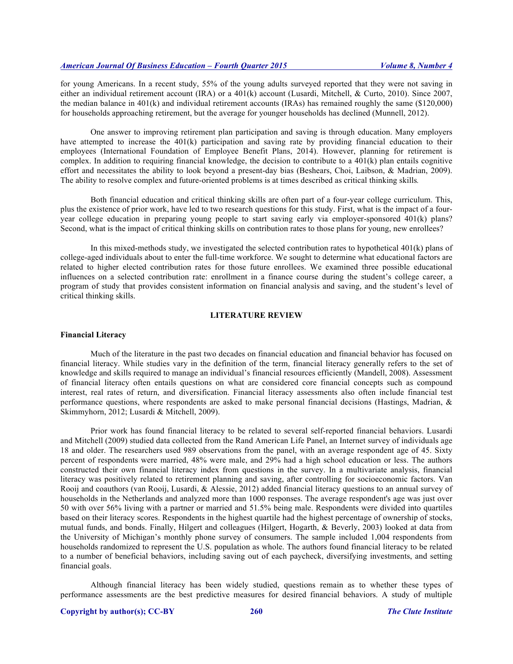for young Americans. In a recent study, 55% of the young adults surveyed reported that they were not saving in either an individual retirement account (IRA) or a 401(k) account (Lusardi, Mitchell, & Curto, 2010). Since 2007, the median balance in 401(k) and individual retirement accounts (IRAs) has remained roughly the same (\$120,000) for households approaching retirement, but the average for younger households has declined (Munnell, 2012).

One answer to improving retirement plan participation and saving is through education. Many employers have attempted to increase the 401(k) participation and saving rate by providing financial education to their employees (International Foundation of Employee Benefit Plans, 2014). However, planning for retirement is complex. In addition to requiring financial knowledge, the decision to contribute to a  $401(k)$  plan entails cognitive effort and necessitates the ability to look beyond a present-day bias (Beshears, Choi, Laibson, & Madrian, 2009). The ability to resolve complex and future-oriented problems is at times described as critical thinking skills*.*

Both financial education and critical thinking skills are often part of a four-year college curriculum. This, plus the existence of prior work, have led to two research questions for this study. First, what is the impact of a fouryear college education in preparing young people to start saving early via employer-sponsored 401(k) plans? Second, what is the impact of critical thinking skills on contribution rates to those plans for young, new enrollees?

In this mixed-methods study, we investigated the selected contribution rates to hypothetical 401(k) plans of college-aged individuals about to enter the full-time workforce. We sought to determine what educational factors are related to higher elected contribution rates for those future enrollees. We examined three possible educational influences on a selected contribution rate: enrollment in a finance course during the student's college career, a program of study that provides consistent information on financial analysis and saving, and the student's level of critical thinking skills.

## **LITERATURE REVIEW**

#### **Financial Literacy**

Much of the literature in the past two decades on financial education and financial behavior has focused on financial literacy. While studies vary in the definition of the term, financial literacy generally refers to the set of knowledge and skills required to manage an individual's financial resources efficiently (Mandell, 2008). Assessment of financial literacy often entails questions on what are considered core financial concepts such as compound interest, real rates of return, and diversification. Financial literacy assessments also often include financial test performance questions, where respondents are asked to make personal financial decisions (Hastings, Madrian, & Skimmyhorn, 2012; Lusardi & Mitchell, 2009).

Prior work has found financial literacy to be related to several self-reported financial behaviors. Lusardi and Mitchell (2009) studied data collected from the Rand American Life Panel, an Internet survey of individuals age 18 and older. The researchers used 989 observations from the panel, with an average respondent age of 45. Sixty percent of respondents were married, 48% were male, and 29% had a high school education or less. The authors constructed their own financial literacy index from questions in the survey. In a multivariate analysis, financial literacy was positively related to retirement planning and saving, after controlling for socioeconomic factors. Van Rooij and coauthors (van Rooij, Lusardi, & Alessie, 2012) added financial literacy questions to an annual survey of households in the Netherlands and analyzed more than 1000 responses. The average respondent's age was just over 50 with over 56% living with a partner or married and 51.5% being male. Respondents were divided into quartiles based on their literacy scores. Respondents in the highest quartile had the highest percentage of ownership of stocks, mutual funds, and bonds. Finally, Hilgert and colleagues (Hilgert, Hogarth, & Beverly, 2003) looked at data from the University of Michigan's monthly phone survey of consumers. The sample included 1,004 respondents from households randomized to represent the U.S. population as whole. The authors found financial literacy to be related to a number of beneficial behaviors, including saving out of each paycheck, diversifying investments, and setting financial goals.

Although financial literacy has been widely studied, questions remain as to whether these types of performance assessments are the best predictive measures for desired financial behaviors. A study of multiple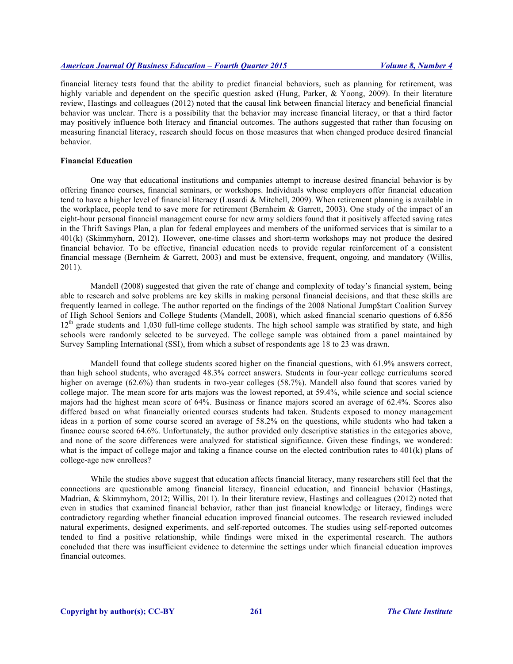financial literacy tests found that the ability to predict financial behaviors, such as planning for retirement, was highly variable and dependent on the specific question asked (Hung, Parker, & Yoong, 2009). In their literature review, Hastings and colleagues (2012) noted that the causal link between financial literacy and beneficial financial behavior was unclear. There is a possibility that the behavior may increase financial literacy, or that a third factor may positively influence both literacy and financial outcomes. The authors suggested that rather than focusing on measuring financial literacy, research should focus on those measures that when changed produce desired financial behavior.

## **Financial Education**

One way that educational institutions and companies attempt to increase desired financial behavior is by offering finance courses, financial seminars, or workshops. Individuals whose employers offer financial education tend to have a higher level of financial literacy (Lusardi & Mitchell, 2009). When retirement planning is available in the workplace, people tend to save more for retirement (Bernheim & Garrett, 2003). One study of the impact of an eight-hour personal financial management course for new army soldiers found that it positively affected saving rates in the Thrift Savings Plan, a plan for federal employees and members of the uniformed services that is similar to a 401(k) (Skimmyhorn, 2012). However, one-time classes and short-term workshops may not produce the desired financial behavior. To be effective, financial education needs to provide regular reinforcement of a consistent financial message (Bernheim & Garrett, 2003) and must be extensive, frequent, ongoing, and mandatory (Willis, 2011).

Mandell (2008) suggested that given the rate of change and complexity of today's financial system, being able to research and solve problems are key skills in making personal financial decisions, and that these skills are frequently learned in college. The author reported on the findings of the 2008 National Jump\$tart Coalition Survey of High School Seniors and College Students (Mandell, 2008), which asked financial scenario questions of 6,856  $12<sup>th</sup>$  grade students and 1,030 full-time college students. The high school sample was stratified by state, and high schools were randomly selected to be surveyed. The college sample was obtained from a panel maintained by Survey Sampling International (SSI), from which a subset of respondents age 18 to 23 was drawn.

Mandell found that college students scored higher on the financial questions, with 61.9% answers correct, than high school students, who averaged 48.3% correct answers. Students in four-year college curriculums scored higher on average (62.6%) than students in two-year colleges (58.7%). Mandell also found that scores varied by college major. The mean score for arts majors was the lowest reported, at 59.4%, while science and social science majors had the highest mean score of 64%. Business or finance majors scored an average of 62.4%. Scores also differed based on what financially oriented courses students had taken. Students exposed to money management ideas in a portion of some course scored an average of 58.2% on the questions, while students who had taken a finance course scored 64.6%. Unfortunately, the author provided only descriptive statistics in the categories above, and none of the score differences were analyzed for statistical significance. Given these findings, we wondered: what is the impact of college major and taking a finance course on the elected contribution rates to 401(k) plans of college-age new enrollees?

While the studies above suggest that education affects financial literacy, many researchers still feel that the connections are questionable among financial literacy, financial education, and financial behavior (Hastings, Madrian, & Skimmyhorn, 2012; Willis, 2011). In their literature review, Hastings and colleagues (2012) noted that even in studies that examined financial behavior, rather than just financial knowledge or literacy, findings were contradictory regarding whether financial education improved financial outcomes. The research reviewed included natural experiments, designed experiments, and self-reported outcomes. The studies using self-reported outcomes tended to find a positive relationship, while findings were mixed in the experimental research. The authors concluded that there was insufficient evidence to determine the settings under which financial education improves financial outcomes.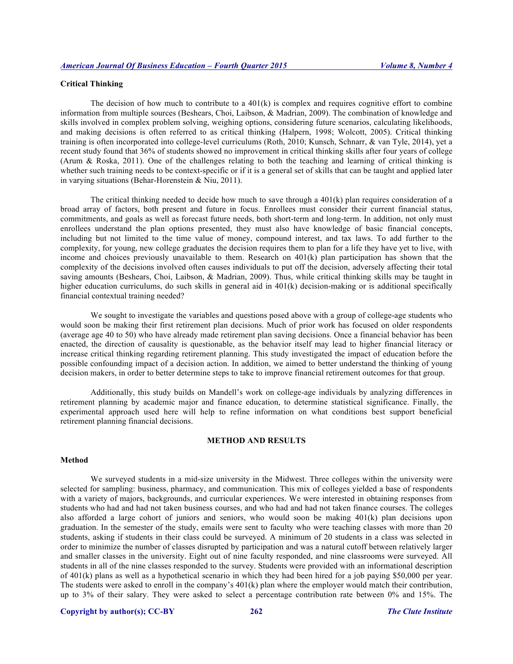### **Critical Thinking**

The decision of how much to contribute to a  $401(k)$  is complex and requires cognitive effort to combine information from multiple sources (Beshears, Choi, Laibson, & Madrian, 2009). The combination of knowledge and skills involved in complex problem solving, weighing options, considering future scenarios, calculating likelihoods, and making decisions is often referred to as critical thinking (Halpern, 1998; Wolcott, 2005). Critical thinking training is often incorporated into college-level curriculums (Roth, 2010; Kunsch, Schnarr, & van Tyle, 2014), yet a recent study found that 36% of students showed no improvement in critical thinking skills after four years of college (Arum & Roska, 2011). One of the challenges relating to both the teaching and learning of critical thinking is whether such training needs to be context-specific or if it is a general set of skills that can be taught and applied later in varying situations (Behar-Horenstein & Niu, 2011).

The critical thinking needed to decide how much to save through a  $401(k)$  plan requires consideration of a broad array of factors, both present and future in focus. Enrollees must consider their current financial status, commitments, and goals as well as forecast future needs, both short-term and long-term. In addition, not only must enrollees understand the plan options presented, they must also have knowledge of basic financial concepts, including but not limited to the time value of money, compound interest, and tax laws. To add further to the complexity, for young, new college graduates the decision requires them to plan for a life they have yet to live, with income and choices previously unavailable to them. Research on  $401(k)$  plan participation has shown that the complexity of the decisions involved often causes individuals to put off the decision, adversely affecting their total saving amounts (Beshears, Choi, Laibson, & Madrian, 2009). Thus, while critical thinking skills may be taught in higher education curriculums, do such skills in general aid in 401(k) decision-making or is additional specifically financial contextual training needed?

We sought to investigate the variables and questions posed above with a group of college-age students who would soon be making their first retirement plan decisions. Much of prior work has focused on older respondents (average age 40 to 50) who have already made retirement plan saving decisions. Once a financial behavior has been enacted, the direction of causality is questionable, as the behavior itself may lead to higher financial literacy or increase critical thinking regarding retirement planning. This study investigated the impact of education before the possible confounding impact of a decision action. In addition, we aimed to better understand the thinking of young decision makers, in order to better determine steps to take to improve financial retirement outcomes for that group.

Additionally, this study builds on Mandell's work on college-age individuals by analyzing differences in retirement planning by academic major and finance education, to determine statistical significance. Finally, the experimental approach used here will help to refine information on what conditions best support beneficial retirement planning financial decisions.

#### **METHOD AND RESULTS**

## **Method**

We surveyed students in a mid-size university in the Midwest. Three colleges within the university were selected for sampling: business, pharmacy, and communication. This mix of colleges yielded a base of respondents with a variety of majors, backgrounds, and curricular experiences. We were interested in obtaining responses from students who had and had not taken business courses, and who had and had not taken finance courses. The colleges also afforded a large cohort of juniors and seniors, who would soon be making 401(k) plan decisions upon graduation. In the semester of the study, emails were sent to faculty who were teaching classes with more than 20 students, asking if students in their class could be surveyed. A minimum of 20 students in a class was selected in order to minimize the number of classes disrupted by participation and was a natural cutoff between relatively larger and smaller classes in the university. Eight out of nine faculty responded, and nine classrooms were surveyed. All students in all of the nine classes responded to the survey. Students were provided with an informational description of 401(k) plans as well as a hypothetical scenario in which they had been hired for a job paying \$50,000 per year. The students were asked to enroll in the company's 401(k) plan where the employer would match their contribution, up to 3% of their salary. They were asked to select a percentage contribution rate between 0% and 15%. The

# **Copyright by author(s); CC-BY 262** *The Clute Institute*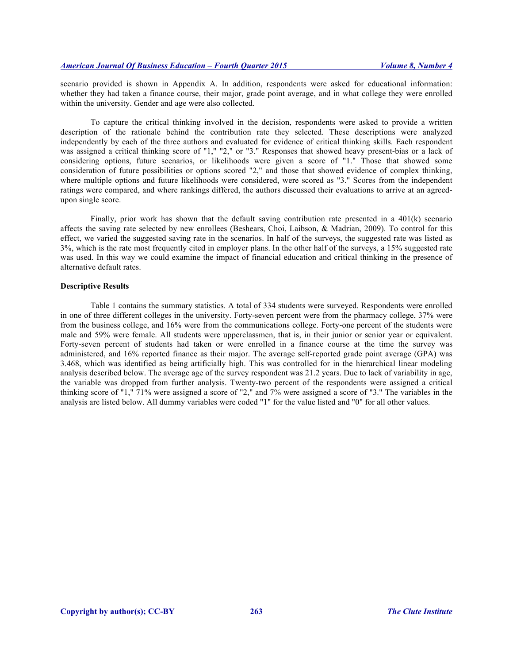scenario provided is shown in Appendix A. In addition, respondents were asked for educational information: whether they had taken a finance course, their major, grade point average, and in what college they were enrolled within the university. Gender and age were also collected.

To capture the critical thinking involved in the decision, respondents were asked to provide a written description of the rationale behind the contribution rate they selected. These descriptions were analyzed independently by each of the three authors and evaluated for evidence of critical thinking skills. Each respondent was assigned a critical thinking score of "1," "2," or "3." Responses that showed heavy present-bias or a lack of considering options, future scenarios, or likelihoods were given a score of "1." Those that showed some consideration of future possibilities or options scored "2," and those that showed evidence of complex thinking, where multiple options and future likelihoods were considered, were scored as "3." Scores from the independent ratings were compared, and where rankings differed, the authors discussed their evaluations to arrive at an agreedupon single score.

Finally, prior work has shown that the default saving contribution rate presented in a 401(k) scenario affects the saving rate selected by new enrollees (Beshears, Choi, Laibson, & Madrian, 2009). To control for this effect, we varied the suggested saving rate in the scenarios. In half of the surveys, the suggested rate was listed as 3%, which is the rate most frequently cited in employer plans. In the other half of the surveys, a 15% suggested rate was used. In this way we could examine the impact of financial education and critical thinking in the presence of alternative default rates.

## **Descriptive Results**

Table 1 contains the summary statistics. A total of 334 students were surveyed. Respondents were enrolled in one of three different colleges in the university. Forty-seven percent were from the pharmacy college, 37% were from the business college, and 16% were from the communications college. Forty-one percent of the students were male and 59% were female. All students were upperclassmen, that is, in their junior or senior year or equivalent. Forty-seven percent of students had taken or were enrolled in a finance course at the time the survey was administered, and 16% reported finance as their major. The average self-reported grade point average (GPA) was 3.468, which was identified as being artificially high. This was controlled for in the hierarchical linear modeling analysis described below. The average age of the survey respondent was 21.2 years. Due to lack of variability in age, the variable was dropped from further analysis. Twenty-two percent of the respondents were assigned a critical thinking score of "1," 71% were assigned a score of "2," and 7% were assigned a score of "3." The variables in the analysis are listed below. All dummy variables were coded "1" for the value listed and "0" for all other values.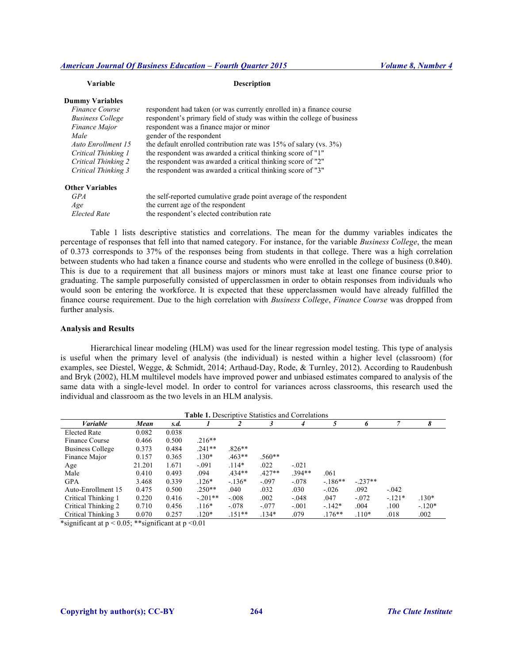#### *American Journal Of Business Education – Fourth Quarter 2015 Volume 8, Number 4*

*Elected Rate* the respondent's elected contribution rate

| Variable                | <b>Description</b>                                                       |
|-------------------------|--------------------------------------------------------------------------|
| <b>Dummy Variables</b>  |                                                                          |
| Finance Course          | respondent had taken (or was currently enrolled in) a finance course     |
| <b>Business College</b> | respondent's primary field of study was within the college of business   |
| <i>Finance Major</i>    | respondent was a finance major or minor                                  |
| Male                    | gender of the respondent                                                 |
| Auto Enrollment 15      | the default enrolled contribution rate was $15\%$ of salary (vs. $3\%$ ) |
| Critical Thinking 1     | the respondent was awarded a critical thinking score of "1"              |
| Critical Thinking 2     | the respondent was awarded a critical thinking score of "2"              |
| Critical Thinking 3     | the respondent was awarded a critical thinking score of "3"              |
| <b>Other Variables</b>  |                                                                          |
| <b>GPA</b>              | the self-reported cumulative grade point average of the respondent       |
| Age                     | the current age of the respondent                                        |

Table 1 lists descriptive statistics and correlations. The mean for the dummy variables indicates the percentage of responses that fell into that named category. For instance, for the variable *Business College*, the mean of 0.373 corresponds to 37% of the responses being from students in that college. There was a high correlation between students who had taken a finance course and students who were enrolled in the college of business (0.840). This is due to a requirement that all business majors or minors must take at least one finance course prior to graduating. The sample purposefully consisted of upperclassmen in order to obtain responses from individuals who would soon be entering the workforce. It is expected that these upperclassmen would have already fulfilled the finance course requirement. Due to the high correlation with *Business College*, *Finance Course* was dropped from further analysis.

#### **Analysis and Results**

Hierarchical linear modeling (HLM) was used for the linear regression model testing. This type of analysis is useful when the primary level of analysis (the individual) is nested within a higher level (classroom) (for examples, see Diestel, Wegge, & Schmidt, 2014; Arthaud-Day, Rode, & Turnley, 2012). According to Raudenbush and Bryk (2002), HLM multilevel models have improved power and unbiased estimates compared to analysis of the same data with a single-level model. In order to control for variances across classrooms, this research used the individual and classroom as the two levels in an HLM analysis.

| <b>Table 1.</b> Descriptive Statistics and Correlations |        |       |           |          |          |         |          |          |         |          |
|---------------------------------------------------------|--------|-------|-----------|----------|----------|---------|----------|----------|---------|----------|
| <i>Variable</i>                                         | Mean   | s.d.  |           |          |          | 4       |          | h        | 7       | 8        |
| <b>Elected Rate</b>                                     | 0.082  | 0.038 |           |          |          |         |          |          |         |          |
| Finance Course                                          | 0.466  | 0.500 | $.216**$  |          |          |         |          |          |         |          |
| <b>Business College</b>                                 | 0.373  | 0.484 | $.241**$  | $.826**$ |          |         |          |          |         |          |
| Finance Major                                           | 0.157  | 0.365 | $.130*$   | $.463**$ | $.560**$ |         |          |          |         |          |
| Age                                                     | 21.201 | 1.671 | $-.091$   | $.114*$  | .022     | $-.021$ |          |          |         |          |
| Male                                                    | 0.410  | 0.493 | .094      | $.434**$ | $.427**$ | 394**   | .061     |          |         |          |
| <b>GPA</b>                                              | 3.468  | 0.339 | $.126*$   | $-136*$  | $-.097$  | $-.078$ | $-186**$ | $-237**$ |         |          |
| Auto-Enrollment 15                                      | 0.475  | 0.500 | $.250**$  | .040     | .032     | .030    | $-.026$  | .092     | $-.042$ |          |
| Critical Thinking 1                                     | 0.220  | 0.416 | $-.201**$ | $-.008$  | .002     | $-.048$ | .047     | $-.072$  | $-121*$ | $.130*$  |
| Critical Thinking 2                                     | 0.710  | 0.456 | $.116*$   | $-.078$  | $-.077$  | $-.001$ | $-142*$  | .004     | .100    | $-.120*$ |
| Critical Thinking 3                                     | 0.070  | 0.257 | $.120*$   | $.151**$ | $.134*$  | .079    | $176***$ | $.110*$  | .018    | .002     |

\*significant at  $p < 0.05$ ; \*\*significant at  $p < 0.01$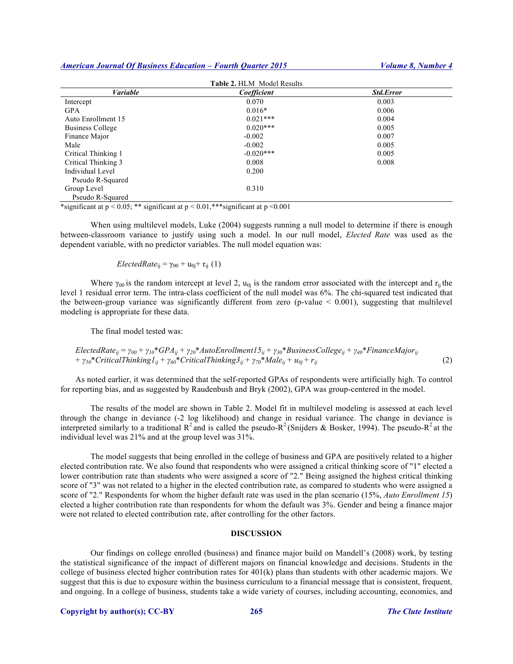*American Journal Of Business Education – Fourth Quarter 2015 Volume 8, Number 4*

| <b>Table 2. HLM Model Results</b>                                                          |             |                  |  |  |  |  |
|--------------------------------------------------------------------------------------------|-------------|------------------|--|--|--|--|
| <b>Variable</b>                                                                            | Coefficient | <b>Std.Error</b> |  |  |  |  |
| Intercept                                                                                  | 0.070       | 0.003            |  |  |  |  |
| <b>GPA</b>                                                                                 | $0.016*$    | 0.006            |  |  |  |  |
| Auto Enrollment 15                                                                         | $0.021***$  | 0.004            |  |  |  |  |
| Business College                                                                           | $0.020***$  | 0.005            |  |  |  |  |
| Finance Major                                                                              | $-0.002$    | 0.007            |  |  |  |  |
| Male                                                                                       | $-0.002$    | 0.005            |  |  |  |  |
| Critical Thinking 1                                                                        | $-0.020***$ | 0.005            |  |  |  |  |
| Critical Thinking 3                                                                        | 0.008       | 0.008            |  |  |  |  |
| Individual Level                                                                           | 0.200       |                  |  |  |  |  |
| Pseudo R-Squared                                                                           |             |                  |  |  |  |  |
| Group Level                                                                                | 0.310       |                  |  |  |  |  |
| Pseudo R-Squared                                                                           |             |                  |  |  |  |  |
| $*$ gianificant at $n < 0.05$ , ** significant at $n < 0.01$ ***significant at $n < 0.001$ |             |                  |  |  |  |  |

\*significant at p < 0.05; \*\* significant at p < 0.01,\*\*\*significant at p <0.001

When using multilevel models, Luke (2004) suggests running a null model to determine if there is enough between-classroom variance to justify using such a model. In our null model, *Elected Rate* was used as the dependent variable, with no predictor variables. The null model equation was:

*ElectedRate*<sub>ij</sub> =  $\gamma_{00}$  + u<sub>0j</sub>+ r<sub>ij</sub> (1)

Where  $\gamma_{00}$  is the random intercept at level 2,  $u_{0i}$  is the random error associated with the intercept and  $r_{ii}$  the level 1 residual error term. The intra-class coefficient of the null model was 6%. The chi-squared test indicated that the between-group variance was significantly different from zero (p-value  $\leq 0.001$ ), suggesting that multilevel modeling is appropriate for these data.

The final model tested was:

$$
Elected Rate_{ij} = \gamma_{00} + \gamma_{10} * GPA_{ij} + \gamma_{20} * AutoEnrollment 15_{ij} + \gamma_{30} * Business College_{ij} + \gamma_{40} * FinanceMajor_{ij} + \gamma_{50} * CriticalThinking 1_{ij} + \gamma_{60} * CriticalThinking 3_{ij} + \gamma_{70} * Male_{ij} + u_{0j} + r_{ij}
$$
\n(2)

As noted earlier, it was determined that the self-reported GPAs of respondents were artificially high. To control for reporting bias, and as suggested by Raudenbush and Bryk (2002), GPA was group-centered in the model.

The results of the model are shown in Table 2. Model fit in multilevel modeling is assessed at each level through the change in deviance (-2 log likelihood) and change in residual variance. The change in deviance is interpreted similarly to a traditional  $R^2$  and is called the pseudo- $R^2$  (Snijders & Bosker, 1994). The pseudo- $R^2$  at the individual level was 21% and at the group level was 31%.

The model suggests that being enrolled in the college of business and GPA are positively related to a higher elected contribution rate. We also found that respondents who were assigned a critical thinking score of "1" elected a lower contribution rate than students who were assigned a score of "2." Being assigned the highest critical thinking score of "3" was not related to a higher in the elected contribution rate, as compared to students who were assigned a score of "2." Respondents for whom the higher default rate was used in the plan scenario (15%, *Auto Enrollment 15*) elected a higher contribution rate than respondents for whom the default was 3%. Gender and being a finance major were not related to elected contribution rate, after controlling for the other factors.

#### **DISCUSSION**

Our findings on college enrolled (business) and finance major build on Mandell's (2008) work, by testing the statistical significance of the impact of different majors on financial knowledge and decisions. Students in the college of business elected higher contribution rates for 401(k) plans than students with other academic majors. We suggest that this is due to exposure within the business curriculum to a financial message that is consistent, frequent, and ongoing. In a college of business, students take a wide variety of courses, including accounting, economics, and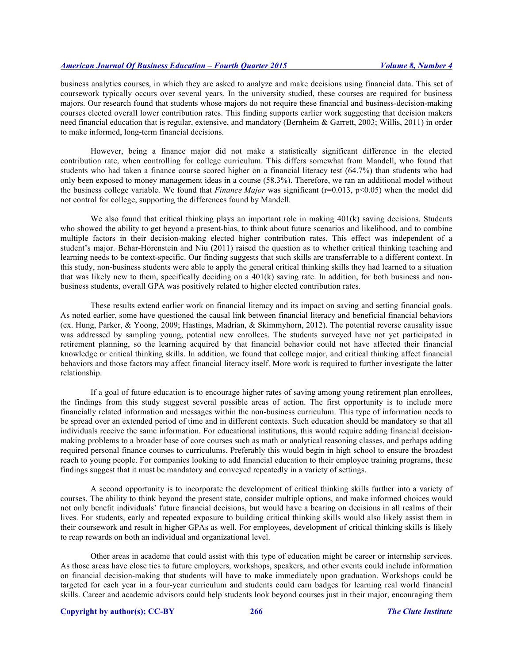business analytics courses, in which they are asked to analyze and make decisions using financial data. This set of coursework typically occurs over several years. In the university studied, these courses are required for business majors. Our research found that students whose majors do not require these financial and business-decision-making courses elected overall lower contribution rates. This finding supports earlier work suggesting that decision makers need financial education that is regular, extensive, and mandatory (Bernheim & Garrett, 2003; Willis, 2011) in order to make informed, long-term financial decisions.

However, being a finance major did not make a statistically significant difference in the elected contribution rate, when controlling for college curriculum. This differs somewhat from Mandell, who found that students who had taken a finance course scored higher on a financial literacy test (64.7%) than students who had only been exposed to money management ideas in a course (58.3%). Therefore, we ran an additional model without the business college variable. We found that *Finance Major* was significant (r=0.013, p<0.05) when the model did not control for college, supporting the differences found by Mandell.

We also found that critical thinking plays an important role in making 401(k) saving decisions. Students who showed the ability to get beyond a present-bias, to think about future scenarios and likelihood, and to combine multiple factors in their decision-making elected higher contribution rates. This effect was independent of a student's major. Behar-Horenstein and Niu (2011) raised the question as to whether critical thinking teaching and learning needs to be context-specific. Our finding suggests that such skills are transferrable to a different context. In this study, non-business students were able to apply the general critical thinking skills they had learned to a situation that was likely new to them, specifically deciding on a  $401(k)$  saving rate. In addition, for both business and nonbusiness students, overall GPA was positively related to higher elected contribution rates.

These results extend earlier work on financial literacy and its impact on saving and setting financial goals. As noted earlier, some have questioned the causal link between financial literacy and beneficial financial behaviors (ex. Hung, Parker, & Yoong, 2009; Hastings, Madrian, & Skimmyhorn, 2012). The potential reverse causality issue was addressed by sampling young, potential new enrollees. The students surveyed have not yet participated in retirement planning, so the learning acquired by that financial behavior could not have affected their financial knowledge or critical thinking skills. In addition, we found that college major, and critical thinking affect financial behaviors and those factors may affect financial literacy itself. More work is required to further investigate the latter relationship.

If a goal of future education is to encourage higher rates of saving among young retirement plan enrollees, the findings from this study suggest several possible areas of action. The first opportunity is to include more financially related information and messages within the non-business curriculum. This type of information needs to be spread over an extended period of time and in different contexts. Such education should be mandatory so that all individuals receive the same information. For educational institutions, this would require adding financial decisionmaking problems to a broader base of core courses such as math or analytical reasoning classes, and perhaps adding required personal finance courses to curriculums. Preferably this would begin in high school to ensure the broadest reach to young people. For companies looking to add financial education to their employee training programs, these findings suggest that it must be mandatory and conveyed repeatedly in a variety of settings.

A second opportunity is to incorporate the development of critical thinking skills further into a variety of courses. The ability to think beyond the present state, consider multiple options, and make informed choices would not only benefit individuals' future financial decisions, but would have a bearing on decisions in all realms of their lives. For students, early and repeated exposure to building critical thinking skills would also likely assist them in their coursework and result in higher GPAs as well. For employees, development of critical thinking skills is likely to reap rewards on both an individual and organizational level.

Other areas in academe that could assist with this type of education might be career or internship services. As those areas have close ties to future employers, workshops, speakers, and other events could include information on financial decision-making that students will have to make immediately upon graduation. Workshops could be targeted for each year in a four-year curriculum and students could earn badges for learning real world financial skills. Career and academic advisors could help students look beyond courses just in their major, encouraging them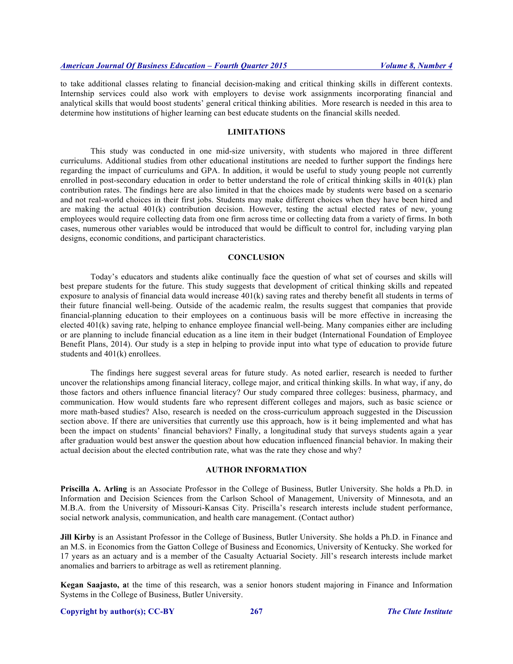to take additional classes relating to financial decision-making and critical thinking skills in different contexts. Internship services could also work with employers to devise work assignments incorporating financial and analytical skills that would boost students' general critical thinking abilities. More research is needed in this area to determine how institutions of higher learning can best educate students on the financial skills needed.

#### **LIMITATIONS**

This study was conducted in one mid-size university, with students who majored in three different curriculums. Additional studies from other educational institutions are needed to further support the findings here regarding the impact of curriculums and GPA. In addition, it would be useful to study young people not currently enrolled in post-secondary education in order to better understand the role of critical thinking skills in 401(k) plan contribution rates. The findings here are also limited in that the choices made by students were based on a scenario and not real-world choices in their first jobs. Students may make different choices when they have been hired and are making the actual  $401(k)$  contribution decision. However, testing the actual elected rates of new, young employees would require collecting data from one firm across time or collecting data from a variety of firms. In both cases, numerous other variables would be introduced that would be difficult to control for, including varying plan designs, economic conditions, and participant characteristics.

## **CONCLUSION**

Today's educators and students alike continually face the question of what set of courses and skills will best prepare students for the future. This study suggests that development of critical thinking skills and repeated exposure to analysis of financial data would increase  $401(k)$  saving rates and thereby benefit all students in terms of their future financial well-being. Outside of the academic realm, the results suggest that companies that provide financial-planning education to their employees on a continuous basis will be more effective in increasing the elected 401(k) saving rate, helping to enhance employee financial well-being. Many companies either are including or are planning to include financial education as a line item in their budget (International Foundation of Employee Benefit Plans, 2014). Our study is a step in helping to provide input into what type of education to provide future students and 401(k) enrollees.

The findings here suggest several areas for future study. As noted earlier, research is needed to further uncover the relationships among financial literacy, college major, and critical thinking skills. In what way, if any, do those factors and others influence financial literacy? Our study compared three colleges: business, pharmacy, and communication. How would students fare who represent different colleges and majors, such as basic science or more math-based studies? Also, research is needed on the cross-curriculum approach suggested in the Discussion section above. If there are universities that currently use this approach, how is it being implemented and what has been the impact on students' financial behaviors? Finally, a longitudinal study that surveys students again a year after graduation would best answer the question about how education influenced financial behavior. In making their actual decision about the elected contribution rate, what was the rate they chose and why?

# **AUTHOR INFORMATION**

**Priscilla A. Arling** is an Associate Professor in the College of Business, Butler University. She holds a Ph.D. in Information and Decision Sciences from the Carlson School of Management, University of Minnesota, and an M.B.A. from the University of Missouri-Kansas City. Priscilla's research interests include student performance, social network analysis, communication, and health care management. (Contact author)

**Jill Kirby** is an Assistant Professor in the College of Business, Butler University. She holds a Ph.D. in Finance and an M.S. in Economics from the Gatton College of Business and Economics, University of Kentucky. She worked for 17 years as an actuary and is a member of the Casualty Actuarial Society. Jill's research interests include market anomalies and barriers to arbitrage as well as retirement planning.

**Kegan Saajasto, a**t the time of this research, was a senior honors student majoring in Finance and Information Systems in the College of Business, Butler University.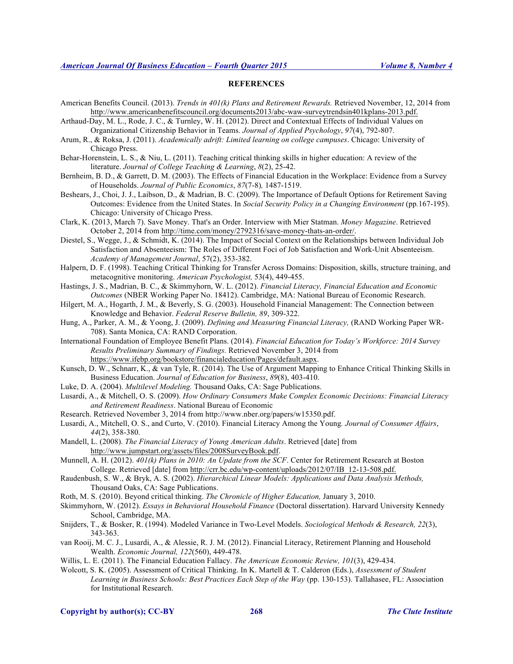#### **REFERENCES**

- American Benefits Council. (2013). *Trends in 401(k) Plans and Retirement Rewards.* Retrieved November, 12, 2014 from http://www.americanbenefitscouncil.org/documents2013/abc-waw-surveytrendsin401kplans-2013.pdf.
- Arthaud-Day, M. L., Rode, J. C., & Turnley, W. H. (2012). Direct and Contextual Effects of Individual Values on Organizational Citizenship Behavior in Teams. *Journal of Applied Psychology*, *97*(4), 792-807.
- Arum, R., & Roksa, J. (2011). *Academically adrift: Limited learning on college campuses*. Chicago: University of Chicago Press.
- Behar-Horenstein, L. S., & Niu, L. (2011). Teaching critical thinking skills in higher education: A review of the literature. *Journal of College Teaching & Learning*, *8*(2), 25-42.
- Bernheim, B. D., & Garrett, D. M. (2003). The Effects of Financial Education in the Workplace: Evidence from a Survey of Households. *Journal of Public Economics*, *87*(7-8)*,* 1487-1519.
- Beshears, J., Choi, J. J., Laibson, D., & Madrian, B. C. (2009). The Importance of Default Options for Retirement Saving Outcomes: Evidence from the United States. In *Social Security Policy in a Changing Environment* (pp*.*167-195). Chicago: University of Chicago Press.
- Clark, K. (2013, March 7). Save Money. That's an Order. Interview with Mier Statman. *Money Magazine*. Retrieved October 2, 2014 from http://time.com/money/2792316/save-money-thats-an-order/.
- Diestel, S., Wegge, J., & Schmidt, K. (2014). The Impact of Social Context on the Relationships between Individual Job Satisfaction and Absenteeism: The Roles of Different Foci of Job Satisfaction and Work-Unit Absenteeism. *Academy of Management Journal*, 57(2), 353-382.
- Halpern, D. F. (1998). Teaching Critical Thinking for Transfer Across Domains: Disposition, skills, structure training, and metacognitive monitoring. *American Psychologist,* 53(4), 449-455.
- Hastings, J. S., Madrian, B. C., & Skimmyhorn, W. L. (2012). *Financial Literacy, Financial Education and Economic Outcomes* (NBER Working Paper No. 18412). Cambridge, MA: National Bureau of Economic Research.
- Hilgert, M. A., Hogarth, J. M., & Beverly, S. G. (2003). Household Financial Management: The Connection between Knowledge and Behavior. *Federal Reserve Bulletin, 89*, 309-322.
- Hung, A., Parker, A. M., & Yoong, J. (2009). *Defining and Measuring Financial Literacy,* (RAND Working Paper WR-708). Santa Monica, CA: RAND Corporation.
- International Foundation of Employee Benefit Plans. (2014). *Financial Education for Today's Workforce: 2014 Survey Results Preliminary Summary of Findings.* Retrieved November 3, 2014 from https://www.ifebp.org/bookstore/financialeducation/Pages/default.aspx.
- Kunsch, D. W., Schnarr, K., & van Tyle, R. (2014). The Use of Argument Mapping to Enhance Critical Thinking Skills in Business Education. *Journal of Education for Business*, *89*(8), 403-410.
- Luke, D. A. (2004). *Multilevel Modeling.* Thousand Oaks, CA: Sage Publications.
- Lusardi, A., & Mitchell, O. S. (2009). *How Ordinary Consumers Make Complex Economic Decisions: Financial Literacy and Retirement Readiness*. National Bureau of Economic
- Research. Retrieved November 3, 2014 from http://www.nber.org/papers/w15350.pdf.
- Lusardi, A., Mitchell, O. S., and Curto, V. (2010). Financial Literacy Among the Young*. Journal of Consumer Affairs*, *44*(2), 358-380.
- Mandell, L. (2008). *The Financial Literacy of Young American Adults*. Retrieved [date] from http://www.jumpstart.org/assets/files/2008SurveyBook.pdf.
- Munnell, A. H. (2012). *401(k) Plans in 2010: An Update from the SCF*. Center for Retirement Research at Boston College. Retrieved [date] from http://crr.bc.edu/wp-content/uploads/2012/07/IB\_12-13-508.pdf.
- Raudenbush, S. W., & Bryk, A. S. (2002). *Hierarchical Linear Models: Applications and Data Analysis Methods,*  Thousand Oaks, CA: Sage Publications.
- Roth, M. S. (2010). Beyond critical thinking. *The Chronicle of Higher Education,* January 3, 2010.
- Skimmyhorn, W. (2012). *Essays in Behavioral Household Finance* (Doctoral dissertation). Harvard University Kennedy School, Cambridge, MA.
- Snijders, T., & Bosker, R. (1994). Modeled Variance in Two-Level Models. *Sociological Methods & Research, 22*(3), 343-363.
- van Rooij, M. C. J., Lusardi, A., & Alessie, R. J. M. (2012). Financial Literacy, Retirement Planning and Household Wealth. *Economic Journal, 122*(560), 449-478.
- Willis, L. E. (2011). The Financial Education Fallacy. *The American Economic Review, 101*(3), 429-434.
- Wolcott, S. K. (2005). Assessment of Critical Thinking. In K. Martell & T. Calderon (Eds.), *Assessment of Student Learning in Business Schools: Best Practices Each Step of the Way* (pp. 130-153). Tallahasee, FL: Association for Institutional Research.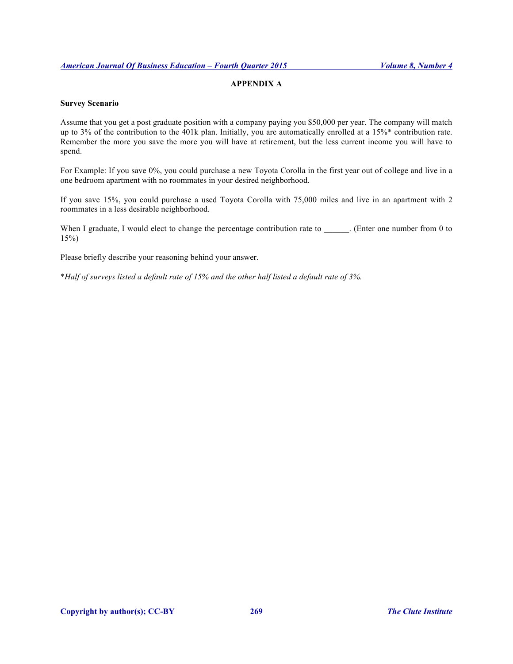# **APPENDIX A**

# **Survey Scenario**

Assume that you get a post graduate position with a company paying you \$50,000 per year. The company will match up to 3% of the contribution to the 401k plan. Initially, you are automatically enrolled at a 15%\* contribution rate. Remember the more you save the more you will have at retirement, but the less current income you will have to spend.

For Example: If you save 0%, you could purchase a new Toyota Corolla in the first year out of college and live in a one bedroom apartment with no roommates in your desired neighborhood.

If you save 15%, you could purchase a used Toyota Corolla with 75,000 miles and live in an apartment with 2 roommates in a less desirable neighborhood.

When I graduate, I would elect to change the percentage contribution rate to \_\_\_\_\_\_. (Enter one number from 0 to 15%)

Please briefly describe your reasoning behind your answer.

\**Half of surveys listed a default rate of 15% and the other half listed a default rate of 3%.*